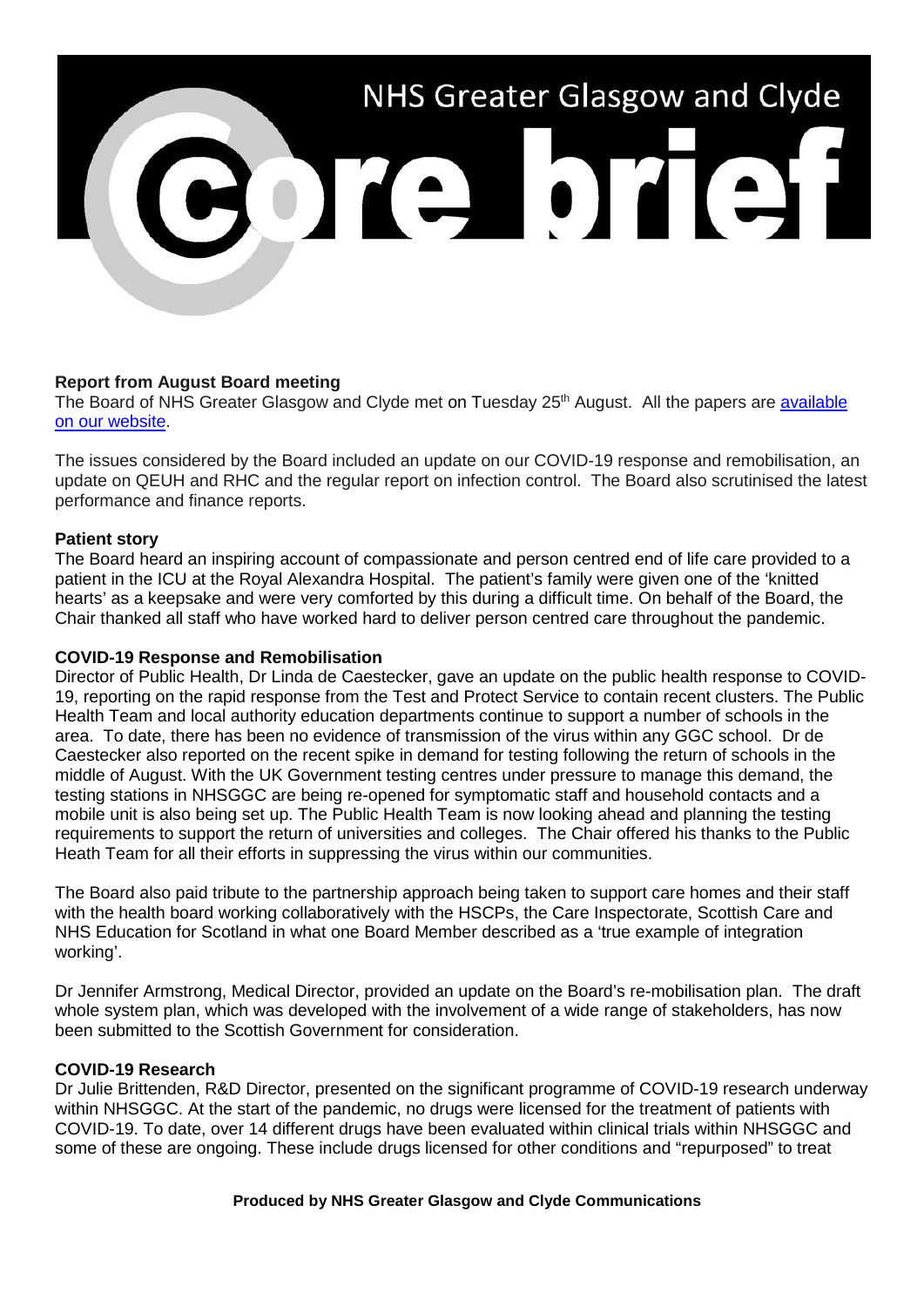# NHS Greater Glasgow and Clyde Core bref

## **Report from August Board meeting**

The Board of NHS Greater Glasgow and Clyde met on Tuesday 25<sup>th</sup> August. All the papers are available [on our website.](https://www.nhsggc.org.uk/about-us/nhsggc-board/board-meetings-papers-reports/papers/2020/)

The issues considered by the Board included an update on our COVID-19 response and remobilisation, an update on QEUH and RHC and the regular report on infection control. The Board also scrutinised the latest performance and finance reports.

### **Patient story**

The Board heard an inspiring account of compassionate and person centred end of life care provided to a patient in the ICU at the Royal Alexandra Hospital. The patient's family were given one of the 'knitted hearts' as a keepsake and were very comforted by this during a difficult time. On behalf of the Board, the Chair thanked all staff who have worked hard to deliver person centred care throughout the pandemic.

### **COVID-19 Response and Remobilisation**

Director of Public Health, Dr Linda de Caestecker, gave an update on the public health response to COVID-19, reporting on the rapid response from the Test and Protect Service to contain recent clusters. The Public Health Team and local authority education departments continue to support a number of schools in the area. To date, there has been no evidence of transmission of the virus within any GGC school. Dr de Caestecker also reported on the recent spike in demand for testing following the return of schools in the middle of August. With the UK Government testing centres under pressure to manage this demand, the testing stations in NHSGGC are being re-opened for symptomatic staff and household contacts and a mobile unit is also being set up. The Public Health Team is now looking ahead and planning the testing requirements to support the return of universities and colleges. The Chair offered his thanks to the Public Heath Team for all their efforts in suppressing the virus within our communities.

The Board also paid tribute to the partnership approach being taken to support care homes and their staff with the health board working collaboratively with the HSCPs, the Care Inspectorate, Scottish Care and NHS Education for Scotland in what one Board Member described as a 'true example of integration working'.

Dr Jennifer Armstrong, Medical Director, provided an update on the Board's re-mobilisation plan. The draft whole system plan, which was developed with the involvement of a wide range of stakeholders, has now been submitted to the Scottish Government for consideration.

### **COVID-19 Research**

Dr Julie Brittenden, R&D Director, presented on the significant programme of COVID-19 research underway within NHSGGC. At the start of the pandemic, no drugs were licensed for the treatment of patients with COVID-19. To date, over 14 different drugs have been evaluated within clinical trials within NHSGGC and some of these are ongoing. These include drugs licensed for other conditions and "repurposed" to treat

### **Produced by NHS Greater Glasgow and Clyde Communications**